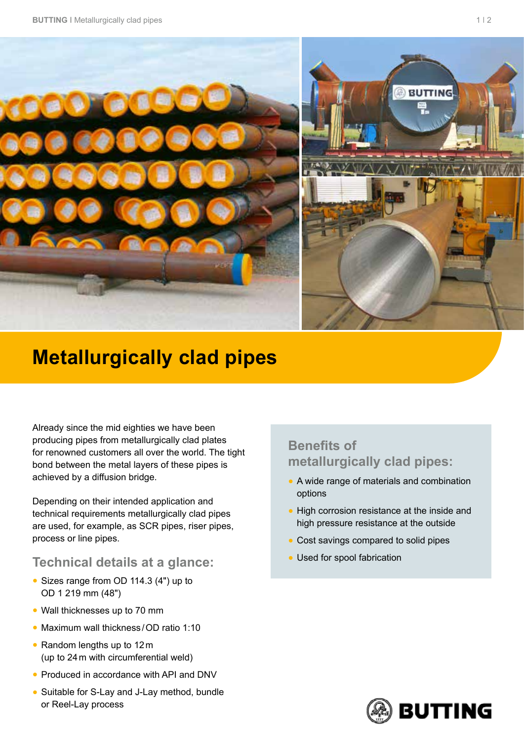

## **Metallurgically clad pipes**

Already since the mid eighties we have been producing pipes from metallurgically clad plates for renowned customers all over the world. The tight bond between the metal layers of these pipes is achieved by a diffusion bridge.

Depending on their intended application and technical requirements metallurgically clad pipes are used, for example, as SCR pipes, riser pipes, process or line pipes.

## **Technical details at a glance:**

- Sizes range from OD 114.3 (4") up to OD 1 219 mm (48")
- Wall thicknesses up to 70 mm
- Maximum wall thickness / OD ratio 1:10
- Random lengths up to 12m (up to 24m with circumferential weld)
- Produced in accordance with API and DNV
- Suitable for S-Lay and J-Lay method, bundle or Reel-Lay process

## **Benefits of metallurgically clad pipes:**

- A wide range of materials and combination options
- High corrosion resistance at the inside and high pressure resistance at the outside
- Cost savings compared to solid pipes
- Used for spool fabrication